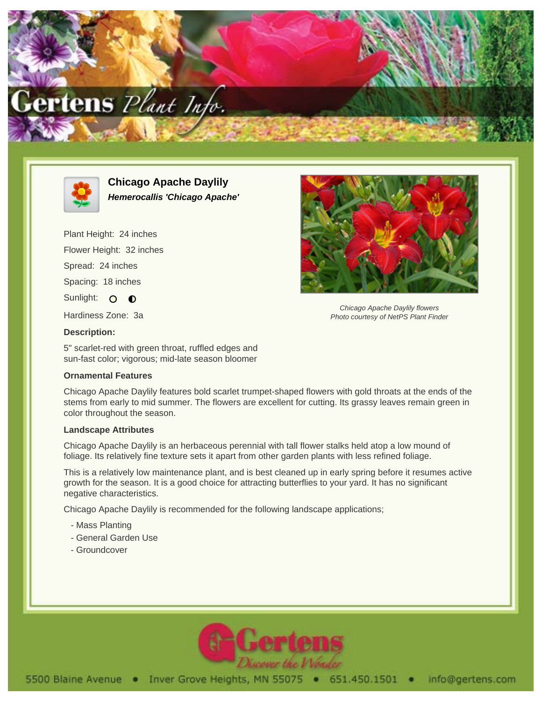



**Chicago Apache Daylily Hemerocallis 'Chicago Apache'**

Plant Height: 24 inches Flower Height: 32 inches Spread: 24 inches Spacing: 18 inches Sunlight: O O Hardiness Zone: 3a



Chicago Apache Daylily flowers Photo courtesy of NetPS Plant Finder

**Description:**

5" scarlet-red with green throat, ruffled edges and sun-fast color; vigorous; mid-late season bloomer

## **Ornamental Features**

Chicago Apache Daylily features bold scarlet trumpet-shaped flowers with gold throats at the ends of the stems from early to mid summer. The flowers are excellent for cutting. Its grassy leaves remain green in color throughout the season.

## **Landscape Attributes**

Chicago Apache Daylily is an herbaceous perennial with tall flower stalks held atop a low mound of foliage. Its relatively fine texture sets it apart from other garden plants with less refined foliage.

This is a relatively low maintenance plant, and is best cleaned up in early spring before it resumes active growth for the season. It is a good choice for attracting butterflies to your yard. It has no significant negative characteristics.

Chicago Apache Daylily is recommended for the following landscape applications;

- Mass Planting
- General Garden Use
- Groundcover